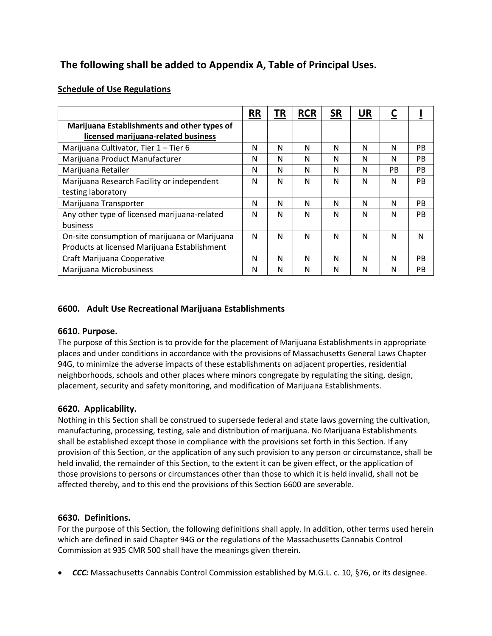# **The following shall be added to Appendix A, Table of Principal Uses.**

## **Schedule of Use Regulations**

|                                               | <b>RR</b> | ΤR | <b>RCR</b> | <b>SR</b> | <b>UR</b> | <u>C</u> |           |
|-----------------------------------------------|-----------|----|------------|-----------|-----------|----------|-----------|
| Marijuana Establishments and other types of   |           |    |            |           |           |          |           |
| licensed marijuana-related business           |           |    |            |           |           |          |           |
| Marijuana Cultivator, Tier 1 - Tier 6         | N         | N  | N          | N         | N         | N        | PB.       |
| Marijuana Product Manufacturer                | N         | N  | N          | N         | N         | N        | <b>PB</b> |
| Marijuana Retailer                            | N         | N  | N          | N         | N         | PB.      | PB        |
| Marijuana Research Facility or independent    | N         | N  | N          | N         | N         | N        | PB        |
| testing laboratory                            |           |    |            |           |           |          |           |
| Marijuana Transporter                         | Ν         | N  | N          | N         | N         | N        | PB        |
| Any other type of licensed marijuana-related  | N         | N  | N          | N         | N         | N        | PB        |
| business                                      |           |    |            |           |           |          |           |
| On-site consumption of marijuana or Marijuana | N         | N  | N          | N         | N         | N        | N         |
| Products at licensed Marijuana Establishment  |           |    |            |           |           |          |           |
| Craft Marijuana Cooperative                   | N         | N  | N          | N         | N         | N        | PB        |
| Marijuana Microbusiness                       | Ν         | N  | N          | N         | N         | N        | PB        |

## **6600. Adult Use Recreational Marijuana Establishments**

#### **6610. Purpose.**

The purpose of this Section is to provide for the placement of Marijuana Establishments in appropriate places and under conditions in accordance with the provisions of Massachusetts General Laws Chapter 94G, to minimize the adverse impacts of these establishments on adjacent properties, residential neighborhoods, schools and other places where minors congregate by regulating the siting, design, placement, security and safety monitoring, and modification of Marijuana Establishments.

## **6620. Applicability.**

Nothing in this Section shall be construed to supersede federal and state laws governing the cultivation, manufacturing, processing, testing, sale and distribution of marijuana. No Marijuana Establishments shall be established except those in compliance with the provisions set forth in this Section. If any provision of this Section, or the application of any such provision to any person or circumstance, shall be held invalid, the remainder of this Section, to the extent it can be given effect, or the application of those provisions to persons or circumstances other than those to which it is held invalid, shall not be affected thereby, and to this end the provisions of this Section 6600 are severable.

#### **6630. Definitions.**

For the purpose of this Section, the following definitions shall apply. In addition, other terms used herein which are defined in said Chapter 94G or the regulations of the Massachusetts Cannabis Control Commission at 935 CMR 500 shall have the meanings given therein.

**CCC:** Massachusetts Cannabis Control Commission established by M.G.L. c. 10, §76, or its designee.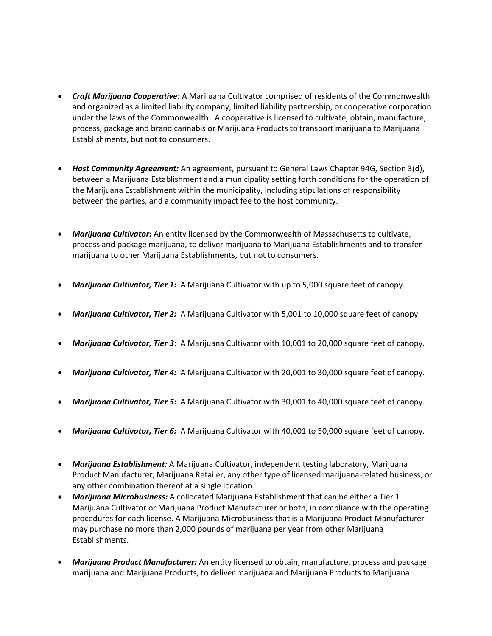- *Craft Marijuana Cooperative:* A Marijuana Cultivator comprised of residents of the Commonwealth and organized as a limited liability company, limited liability partnership, or cooperative corporation under the laws of the Commonwealth. A cooperative is licensed to cultivate, obtain, manufacture, process, package and brand cannabis or Marijuana Products to transport marijuana to Marijuana Establishments, but not to consumers.
- *Host Community Agreement:* An agreement, pursuant to General Laws Chapter 94G, Section 3(d), between a Marijuana Establishment and a municipality setting forth conditions for the operation of the Marijuana Establishment within the municipality, including stipulations of responsibility between the parties, and a community impact fee to the host community.
- *Marijuana Cultivator:* An entity licensed by the Commonwealth of Massachusetts to cultivate, process and package marijuana, to deliver marijuana to Marijuana Establishments and to transfer marijuana to other Marijuana Establishments, but not to consumers.
- *Marijuana Cultivator, Tier 1:* A Marijuana Cultivator with up to 5,000 square feet of canopy.
- *Marijuana Cultivator, Tier 2:* A Marijuana Cultivator with 5,001 to 10,000 square feet of canopy.
- *Marijuana Cultivator, Tier 3*: A Marijuana Cultivator with 10,001 to 20,000 square feet of canopy.
- *Marijuana Cultivator, Tier 4:* A Marijuana Cultivator with 20,001 to 30,000 square feet of canopy.
- *Marijuana Cultivator, Tier 5:* A Marijuana Cultivator with 30,001 to 40,000 square feet of canopy.
- *Marijuana Cultivator, Tier 6:* A Marijuana Cultivator with 40,001 to 50,000 square feet of canopy.
- *Marijuana Establishment:* A Marijuana Cultivator, independent testing laboratory, Marijuana Product Manufacturer, Marijuana Retailer, any other type of licensed marijuana-related business, or any other combination thereof at a single location.
- *Marijuana Microbusiness:* A collocated Marijuana Establishment that can be either a Tier 1 Marijuana Cultivator or Marijuana Product Manufacturer or both, in compliance with the operating procedures for each license. A Marijuana Microbusiness that is a Marijuana Product Manufacturer may purchase no more than 2,000 pounds of marijuana per year from other Marijuana Establishments.
- *Marijuana Product Manufacturer:* An entity licensed to obtain, manufacture, process and package marijuana and Marijuana Products, to deliver marijuana and Marijuana Products to Marijuana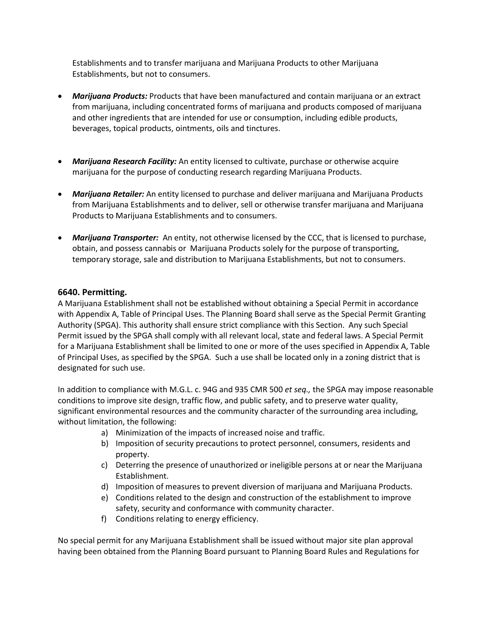Establishments and to transfer marijuana and Marijuana Products to other Marijuana Establishments, but not to consumers.

- *Marijuana Products:* Products that have been manufactured and contain marijuana or an extract from marijuana, including concentrated forms of marijuana and products composed of marijuana and other ingredients that are intended for use or consumption, including edible products, beverages, topical products, ointments, oils and tinctures.
- *Marijuana Research Facility:* An entity licensed to cultivate, purchase or otherwise acquire marijuana for the purpose of conducting research regarding Marijuana Products.
- *Marijuana Retailer:* An entity licensed to purchase and deliver marijuana and Marijuana Products from Marijuana Establishments and to deliver, sell or otherwise transfer marijuana and Marijuana Products to Marijuana Establishments and to consumers.
- *Marijuana Transporter:* An entity, not otherwise licensed by the CCC, that is licensed to purchase, obtain, and possess cannabis or Marijuana Products solely for the purpose of transporting, temporary storage, sale and distribution to Marijuana Establishments, but not to consumers.

#### **6640. Permitting.**

A Marijuana Establishment shall not be established without obtaining a Special Permit in accordance with Appendix A, Table of Principal Uses. The Planning Board shall serve as the Special Permit Granting Authority (SPGA). This authority shall ensure strict compliance with this Section. Any such Special Permit issued by the SPGA shall comply with all relevant local, state and federal laws. A Special Permit for a Marijuana Establishment shall be limited to one or more of the uses specified in Appendix A, Table of Principal Uses, as specified by the SPGA. Such a use shall be located only in a zoning district that is designated for such use.

In addition to compliance with M.G.L. c. 94G and 935 CMR 500 *et seq.,* the SPGA may impose reasonable conditions to improve site design, traffic flow, and public safety, and to preserve water quality, significant environmental resources and the community character of the surrounding area including, without limitation, the following:

- a) Minimization of the impacts of increased noise and traffic.
- b) Imposition of security precautions to protect personnel, consumers, residents and property.
- c) Deterring the presence of unauthorized or ineligible persons at or near the Marijuana Establishment.
- d) Imposition of measures to prevent diversion of marijuana and Marijuana Products.
- e) Conditions related to the design and construction of the establishment to improve safety, security and conformance with community character.
- f) Conditions relating to energy efficiency.

No special permit for any Marijuana Establishment shall be issued without major site plan approval having been obtained from the Planning Board pursuant to Planning Board Rules and Regulations for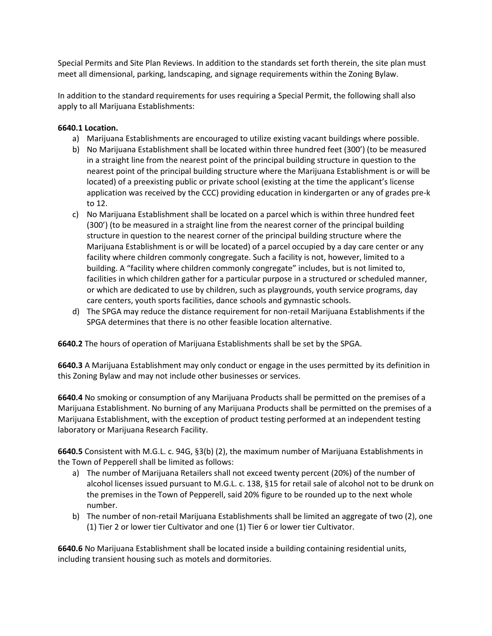Special Permits and Site Plan Reviews. In addition to the standards set forth therein, the site plan must meet all dimensional, parking, landscaping, and signage requirements within the Zoning Bylaw.

In addition to the standard requirements for uses requiring a Special Permit, the following shall also apply to all Marijuana Establishments:

#### **6640.1 Location.**

- a) Marijuana Establishments are encouraged to utilize existing vacant buildings where possible.
- b) No Marijuana Establishment shall be located within three hundred feet (300') (to be measured in a straight line from the nearest point of the principal building structure in question to the nearest point of the principal building structure where the Marijuana Establishment is or will be located) of a preexisting public or private school (existing at the time the applicant's license application was received by the CCC) providing education in kindergarten or any of grades pre-k to 12.
- c) No Marijuana Establishment shall be located on a parcel which is within three hundred feet (300') (to be measured in a straight line from the nearest corner of the principal building structure in question to the nearest corner of the principal building structure where the Marijuana Establishment is or will be located) of a parcel occupied by a day care center or any facility where children commonly congregate. Such a facility is not, however, limited to a building. A "facility where children commonly congregate" includes, but is not limited to, facilities in which children gather for a particular purpose in a structured or scheduled manner, or which are dedicated to use by children, such as playgrounds, youth service programs, day care centers, youth sports facilities, dance schools and gymnastic schools.
- d) The SPGA may reduce the distance requirement for non-retail Marijuana Establishments if the SPGA determines that there is no other feasible location alternative.

**6640.2** The hours of operation of Marijuana Establishments shall be set by the SPGA.

**6640.3** A Marijuana Establishment may only conduct or engage in the uses permitted by its definition in this Zoning Bylaw and may not include other businesses or services.

**6640.4** No smoking or consumption of any Marijuana Products shall be permitted on the premises of a Marijuana Establishment. No burning of any Marijuana Products shall be permitted on the premises of a Marijuana Establishment, with the exception of product testing performed at an independent testing laboratory or Marijuana Research Facility.

**6640.5** Consistent with M.G.L. c. 94G, §3(b) (2), the maximum number of Marijuana Establishments in the Town of Pepperell shall be limited as follows:

- a) The number of Marijuana Retailers shall not exceed twenty percent (20%) of the number of alcohol licenses issued pursuant to M.G.L. c. 138, §15 for retail sale of alcohol not to be drunk on the premises in the Town of Pepperell, said 20% figure to be rounded up to the next whole number.
- b) The number of non-retail Marijuana Establishments shall be limited an aggregate of two (2), one (1) Tier 2 or lower tier Cultivator and one (1) Tier 6 or lower tier Cultivator.

**6640.6** No Marijuana Establishment shall be located inside a building containing residential units, including transient housing such as motels and dormitories.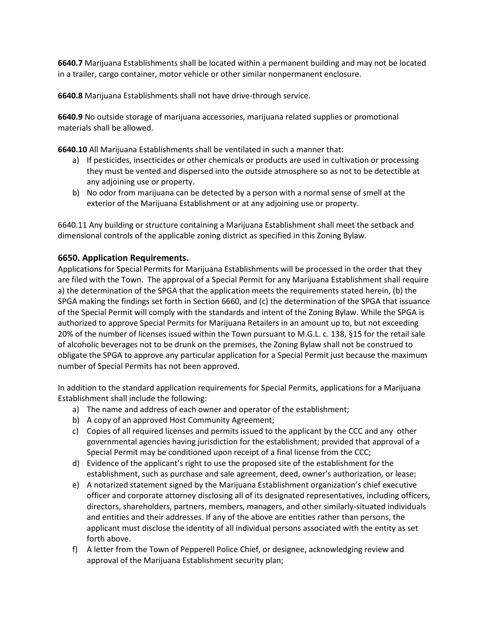**6640.7** Marijuana Establishments shall be located within a permanent building and may not be located in a trailer, cargo container, motor vehicle or other similar nonpermanent enclosure.

**6640.8** Marijuana Establishments shall not have drive-through service.

**6640.9** No outside storage of marijuana accessories, marijuana related supplies or promotional materials shall be allowed.

**6640.10** All Marijuana Establishments shall be ventilated in such a manner that:

- a) If pesticides, insecticides or other chemicals or products are used in cultivation or processing they must be vented and dispersed into the outside atmosphere so as not to be detectible at any adjoining use or property.
- b) No odor from marijuana can be detected by a person with a normal sense of smell at the exterior of the Marijuana Establishment or at any adjoining use or property.

6640.11 Any building or structure containing a Marijuana Establishment shall meet the setback and dimensional controls of the applicable zoning district as specified in this Zoning Bylaw.

## **6650. Application Requirements.**

Applications for Special Permits for Marijuana Establishments will be processed in the order that they are filed with the Town. The approval of a Special Permit for any Marijuana Establishment shall require a) the determination of the SPGA that the application meets the requirements stated herein, (b) the SPGA making the findings set forth in Section 6660, and (c) the determination of the SPGA that issuance of the Special Permit will comply with the standards and intent of the Zoning Bylaw. While the SPGA is authorized to approve Special Permits for Marijuana Retailers in an amount up to, but not exceeding 20% of the number of licenses issued within the Town pursuant to M.G.L. c. 138, §15 for the retail sale of alcoholic beverages not to be drunk on the premises, the Zoning Bylaw shall not be construed to obligate the SPGA to approve any particular application for a Special Permit just because the maximum number of Special Permits has not been approved.

In addition to the standard application requirements for Special Permits, applications for a Marijuana Establishment shall include the following:

- a) The name and address of each owner and operator of the establishment;
- b) A copy of an approved Host Community Agreement;
- c) Copies of all required licenses and permits issued to the applicant by the CCC and any other governmental agencies having jurisdiction for the establishment; provided that approval of a Special Permit may be conditioned upon receipt of a final license from the CCC;
- d) Evidence of the applicant's right to use the proposed site of the establishment for the establishment, such as purchase and sale agreement, deed, owner's authorization, or lease;
- e) A notarized statement signed by the Marijuana Establishment organization's chief executive officer and corporate attorney disclosing all of its designated representatives, including officers, directors, shareholders, partners, members, managers, and other similarly-situated individuals and entities and their addresses. If any of the above are entities rather than persons, the applicant must disclose the identity of all individual persons associated with the entity as set forth above.
- f) A letter from the Town of Pepperell Police Chief, or designee, acknowledging review and approval of the Marijuana Establishment security plan;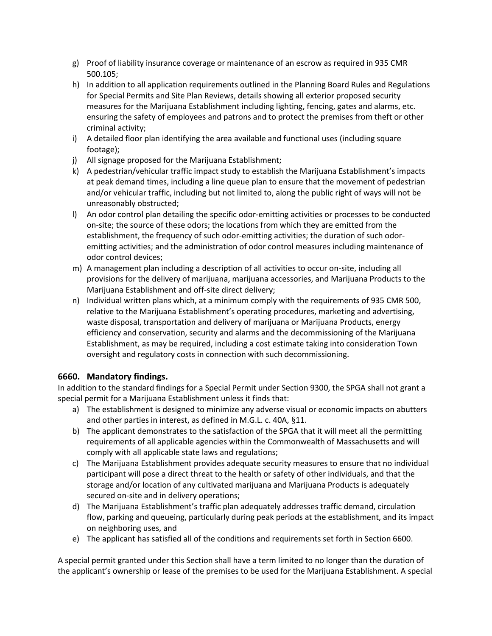- g) Proof of liability insurance coverage or maintenance of an escrow as required in 935 CMR 500.105;
- h) In addition to all application requirements outlined in the Planning Board Rules and Regulations for Special Permits and Site Plan Reviews, details showing all exterior proposed security measures for the Marijuana Establishment including lighting, fencing, gates and alarms, etc. ensuring the safety of employees and patrons and to protect the premises from theft or other criminal activity;
- i) A detailed floor plan identifying the area available and functional uses (including square footage);
- j) All signage proposed for the Marijuana Establishment;
- k) A pedestrian/vehicular traffic impact study to establish the Marijuana Establishment's impacts at peak demand times, including a line queue plan to ensure that the movement of pedestrian and/or vehicular traffic, including but not limited to, along the public right of ways will not be unreasonably obstructed;
- l) An odor control plan detailing the specific odor-emitting activities or processes to be conducted on-site; the source of these odors; the locations from which they are emitted from the establishment, the frequency of such odor-emitting activities; the duration of such odoremitting activities; and the administration of odor control measures including maintenance of odor control devices;
- m) A management plan including a description of all activities to occur on-site, including all provisions for the delivery of marijuana, marijuana accessories, and Marijuana Products to the Marijuana Establishment and off-site direct delivery;
- n) Individual written plans which, at a minimum comply with the requirements of 935 CMR 500, relative to the Marijuana Establishment's operating procedures, marketing and advertising, waste disposal, transportation and delivery of marijuana or Marijuana Products, energy efficiency and conservation, security and alarms and the decommissioning of the Marijuana Establishment, as may be required, including a cost estimate taking into consideration Town oversight and regulatory costs in connection with such decommissioning.

## **6660. Mandatory findings.**

In addition to the standard findings for a Special Permit under Section 9300, the SPGA shall not grant a special permit for a Marijuana Establishment unless it finds that:

- a) The establishment is designed to minimize any adverse visual or economic impacts on abutters and other parties in interest, as defined in M.G.L. c. 40A, §11.
- b) The applicant demonstrates to the satisfaction of the SPGA that it will meet all the permitting requirements of all applicable agencies within the Commonwealth of Massachusetts and will comply with all applicable state laws and regulations;
- c) The Marijuana Establishment provides adequate security measures to ensure that no individual participant will pose a direct threat to the health or safety of other individuals, and that the storage and/or location of any cultivated marijuana and Marijuana Products is adequately secured on-site and in delivery operations;
- d) The Marijuana Establishment's traffic plan adequately addresses traffic demand, circulation flow, parking and queueing, particularly during peak periods at the establishment, and its impact on neighboring uses, and
- e) The applicant has satisfied all of the conditions and requirements set forth in Section 6600.

A special permit granted under this Section shall have a term limited to no longer than the duration of the applicant's ownership or lease of the premises to be used for the Marijuana Establishment. A special